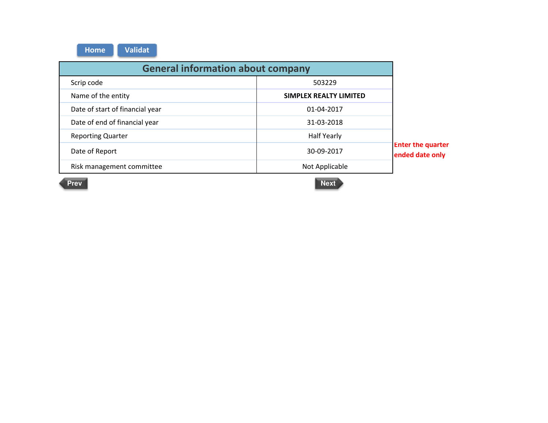| <b>General information about company</b> |                        |                                             |  |  |
|------------------------------------------|------------------------|---------------------------------------------|--|--|
| Scrip code                               | 503229                 |                                             |  |  |
| Name of the entity                       | SIMPLEX REALTY LIMITED |                                             |  |  |
| Date of start of financial year          | 01-04-2017             |                                             |  |  |
| Date of end of financial year            | 31-03-2018             |                                             |  |  |
| <b>Reporting Quarter</b>                 | <b>Half Yearly</b>     |                                             |  |  |
| Date of Report                           | 30-09-2017             | <b>Enter the quarter</b><br>ended date only |  |  |
| Risk management committee                | Not Applicable         |                                             |  |  |

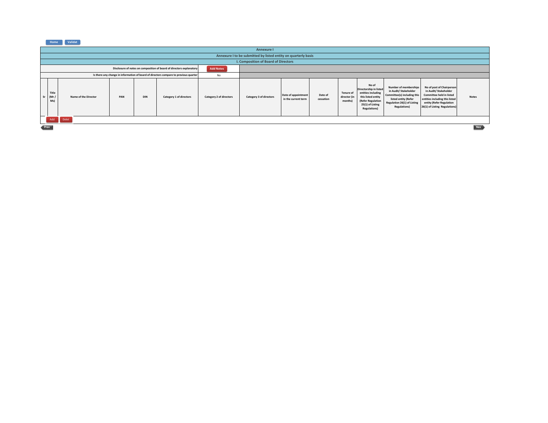| Home | Validat |
|------|---------|
|------|---------|

|                                                                                          | Annexure I                                                     |                      |     |     |                         |                         |                         |                                            |                      |                                             |                                                                                                                                              |                                                                                                                                                                    |                                                                                                                                                                                      |              |
|------------------------------------------------------------------------------------------|----------------------------------------------------------------|----------------------|-----|-----|-------------------------|-------------------------|-------------------------|--------------------------------------------|----------------------|---------------------------------------------|----------------------------------------------------------------------------------------------------------------------------------------------|--------------------------------------------------------------------------------------------------------------------------------------------------------------------|--------------------------------------------------------------------------------------------------------------------------------------------------------------------------------------|--------------|
|                                                                                          | Annexure I to be submitted by listed entity on quarterly basis |                      |     |     |                         |                         |                         |                                            |                      |                                             |                                                                                                                                              |                                                                                                                                                                    |                                                                                                                                                                                      |              |
|                                                                                          | I. Composition of Board of Directors                           |                      |     |     |                         |                         |                         |                                            |                      |                                             |                                                                                                                                              |                                                                                                                                                                    |                                                                                                                                                                                      |              |
| Disclosure of notes on composition of board of directors explanatory<br><b>Add Notes</b> |                                                                |                      |     |     |                         |                         |                         |                                            |                      |                                             |                                                                                                                                              |                                                                                                                                                                    |                                                                                                                                                                                      |              |
| Is there any change in information of board of directors compare to previous quarter     |                                                                |                      | No  |     |                         |                         |                         |                                            |                      |                                             |                                                                                                                                              |                                                                                                                                                                    |                                                                                                                                                                                      |              |
| <b>Sr</b>                                                                                | Title<br>(Mr)<br>Ms)                                           | Name of the Director | PAN | DIN | Category 1 of directors | Category 2 of directors | Category 3 of directors | Date of appointment<br>in the current term | Date of<br>cessation | <b>Tenure of</b><br>director (in<br>months) | No of<br>Directorship in listed<br>entities including<br>this listed entity<br>(Refer Regulation<br>25(1) of Listing<br><b>Regulations</b> ) | <b>Number of memberships</b><br>in Audit/ Stakeholder<br>Committee(s) including this<br>listed entity (Refer<br>Regulation 26(1) of Listing<br><b>Regulations)</b> | No of post of Chairperson<br>in Audit/ Stakeholder<br><b>Committee held in listed</b><br>entities including this listed<br>entity (Refer Regulation<br>26(1) of Listing Regulations) | <b>Notes</b> |
|                                                                                          | Add                                                            | Delet                |     |     |                         |                         |                         |                                            |                      |                                             |                                                                                                                                              |                                                                                                                                                                    |                                                                                                                                                                                      |              |
|                                                                                          | Nex<br>Prev                                                    |                      |     |     |                         |                         |                         |                                            |                      |                                             |                                                                                                                                              |                                                                                                                                                                    |                                                                                                                                                                                      |              |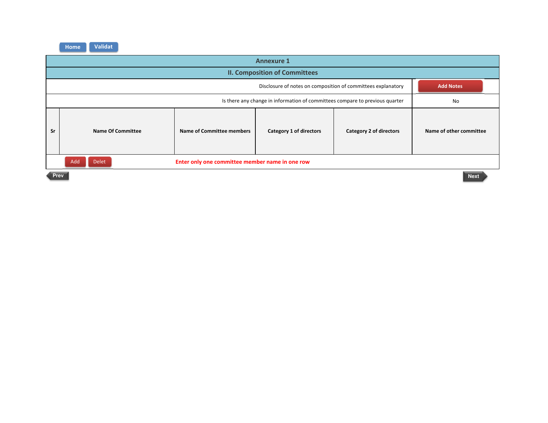|                                                                                  | <b>Annexure 1</b>                                                      |                           |                         |  |                         |  |  |  |
|----------------------------------------------------------------------------------|------------------------------------------------------------------------|---------------------------|-------------------------|--|-------------------------|--|--|--|
|                                                                                  | <b>II. Composition of Committees</b>                                   |                           |                         |  |                         |  |  |  |
| Disclosure of notes on composition of committees explanatory<br><b>Add Notes</b> |                                                                        |                           |                         |  |                         |  |  |  |
|                                                                                  |                                                                        | No                        |                         |  |                         |  |  |  |
| Sr                                                                               | <b>Name Of Committee</b>                                               | Name of Committee members | Category 1 of directors |  | Name of other committee |  |  |  |
|                                                                                  | Add<br><b>Delet</b><br>Enter only one committee member name in one row |                           |                         |  |                         |  |  |  |
|                                                                                  | <b>Prev</b><br><b>Next</b>                                             |                           |                         |  |                         |  |  |  |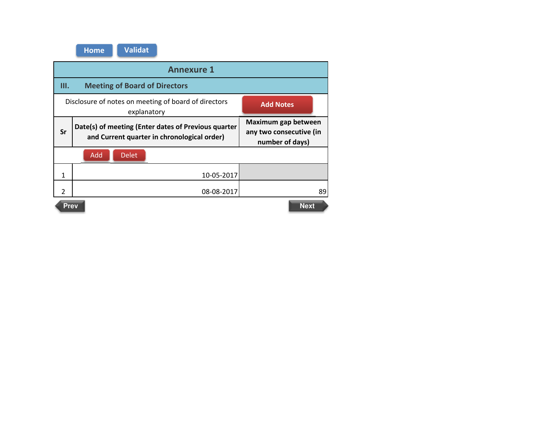|               | <b>Annexure 1</b>                                                                                  |                                                                   |  |  |  |  |  |  |
|---------------|----------------------------------------------------------------------------------------------------|-------------------------------------------------------------------|--|--|--|--|--|--|
| Ш.            | <b>Meeting of Board of Directors</b>                                                               |                                                                   |  |  |  |  |  |  |
|               | Disclosure of notes on meeting of board of directors<br>explanatory                                | <b>Add Notes</b>                                                  |  |  |  |  |  |  |
| Sr            | Date(s) of meeting (Enter dates of Previous quarter<br>and Current quarter in chronological order) | Maximum gap between<br>any two consecutive (in<br>number of days) |  |  |  |  |  |  |
|               | <b>Delet</b><br>Add                                                                                |                                                                   |  |  |  |  |  |  |
| 1             | 10-05-2017                                                                                         |                                                                   |  |  |  |  |  |  |
| $\mathfrak z$ | 08-08-2017<br>89                                                                                   |                                                                   |  |  |  |  |  |  |
|               | <b>Next</b><br><b>Prev</b>                                                                         |                                                                   |  |  |  |  |  |  |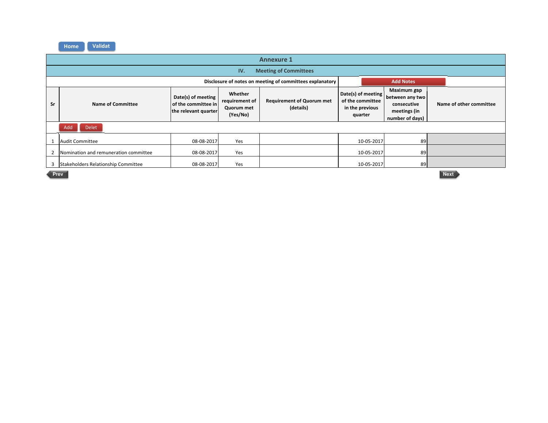|                                                          | <b>Annexure 1</b>                                                                                                                                                                                                     |            |                                                                      |  |                                                                                  |            |                         |  |  |
|----------------------------------------------------------|-----------------------------------------------------------------------------------------------------------------------------------------------------------------------------------------------------------------------|------------|----------------------------------------------------------------------|--|----------------------------------------------------------------------------------|------------|-------------------------|--|--|
|                                                          | <b>Meeting of Committees</b><br>IV.                                                                                                                                                                                   |            |                                                                      |  |                                                                                  |            |                         |  |  |
| Disclosure of notes on meeting of committees explanatory |                                                                                                                                                                                                                       |            |                                                                      |  |                                                                                  |            | <b>Add Notes</b>        |  |  |
| Sr                                                       | Whether<br>Date(s) of meeting<br><b>Requirement of Quorum met</b><br>requirement of<br>$\sf I$ of the committee in $\sf I$<br><b>Name of Committee</b><br>(details)<br>Quorum met<br>the relevant quarter<br>(Yes/No) |            | Date(s) of meeting<br>of the committee<br>in the previous<br>quarter |  | Maximum gap<br>between any two<br>consecutive<br>meetings (in<br>number of days) |            | Name of other committee |  |  |
|                                                          | <b>Delet</b><br>Add                                                                                                                                                                                                   |            |                                                                      |  |                                                                                  |            |                         |  |  |
|                                                          | <b>Audit Committee</b>                                                                                                                                                                                                | 08-08-2017 | Yes                                                                  |  |                                                                                  | 10-05-2017 | 89                      |  |  |
|                                                          | Nomination and remuneration committee                                                                                                                                                                                 | 08-08-2017 | Yes                                                                  |  |                                                                                  | 10-05-2017 | 89                      |  |  |
|                                                          | Stakeholders Relationship Committee                                                                                                                                                                                   | 08-08-2017 | Yes                                                                  |  |                                                                                  | 10-05-2017 | 89                      |  |  |

**Prev Next** Next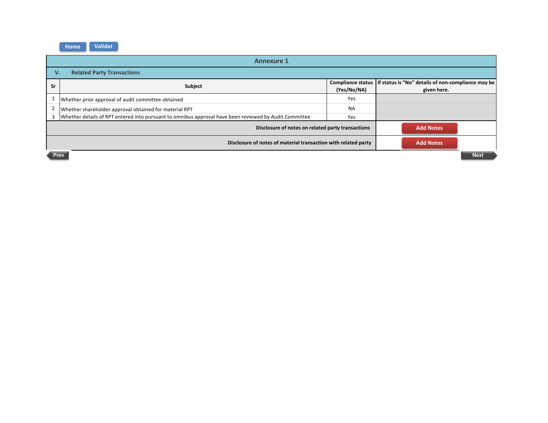|                                                                                    | <b>Annexure 1</b>                                                                                      |                                         |                                                                   |  |  |  |  |
|------------------------------------------------------------------------------------|--------------------------------------------------------------------------------------------------------|-----------------------------------------|-------------------------------------------------------------------|--|--|--|--|
|                                                                                    | <b>Related Party Transactions</b><br>v.                                                                |                                         |                                                                   |  |  |  |  |
| <b>Sr</b>                                                                          | Subject                                                                                                | <b>Compliance status</b><br>(Yes/No/NA) | If status is "No" details of non-compliance may be<br>given here. |  |  |  |  |
|                                                                                    | Whether prior approval of audit committee obtained                                                     | Yes                                     |                                                                   |  |  |  |  |
|                                                                                    | Whether shareholder approval obtained for material RPT                                                 | <b>NA</b>                               |                                                                   |  |  |  |  |
| 3                                                                                  | Whether details of RPT entered into pursuant to omnibus approval have been reviewed by Audit Committee | Yes                                     |                                                                   |  |  |  |  |
|                                                                                    | Disclosure of notes on related party transactions                                                      | <b>Add Notes</b>                        |                                                                   |  |  |  |  |
| <b>Add Notes</b><br>Disclosure of notes of material transaction with related party |                                                                                                        |                                         |                                                                   |  |  |  |  |
| Prev                                                                               |                                                                                                        |                                         |                                                                   |  |  |  |  |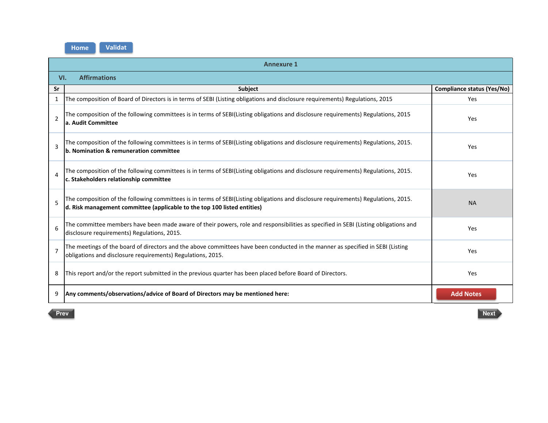|                | <b>Annexure 1</b>                                                                                                                                                                                               |                            |  |  |  |  |  |  |
|----------------|-----------------------------------------------------------------------------------------------------------------------------------------------------------------------------------------------------------------|----------------------------|--|--|--|--|--|--|
|                | <b>Affirmations</b><br>VI.                                                                                                                                                                                      |                            |  |  |  |  |  |  |
| Sr             | Subject                                                                                                                                                                                                         | Compliance status (Yes/No) |  |  |  |  |  |  |
| 1              | The composition of Board of Directors is in terms of SEBI (Listing obligations and disclosure requirements) Regulations, 2015                                                                                   | Yes                        |  |  |  |  |  |  |
| $\overline{2}$ | The composition of the following committees is in terms of SEBI(Listing obligations and disclosure requirements) Regulations, 2015<br>a. Audit Committee                                                        | Yes                        |  |  |  |  |  |  |
| 3              | The composition of the following committees is in terms of SEBI(Listing obligations and disclosure requirements) Regulations, 2015.<br>b. Nomination & remuneration committee                                   | Yes                        |  |  |  |  |  |  |
| 4              | The composition of the following committees is in terms of SEBI(Listing obligations and disclosure requirements) Regulations, 2015.<br>c. Stakeholders relationship committee                                   | Yes                        |  |  |  |  |  |  |
| 5              | The composition of the following committees is in terms of SEBI(Listing obligations and disclosure requirements) Regulations, 2015.<br>d. Risk management committee (applicable to the top 100 listed entities) | <b>NA</b>                  |  |  |  |  |  |  |
| 6              | The committee members have been made aware of their powers, role and responsibilities as specified in SEBI (Listing obligations and<br>disclosure requirements) Regulations, 2015.                              | Yes                        |  |  |  |  |  |  |
| $\overline{7}$ | The meetings of the board of directors and the above committees have been conducted in the manner as specified in SEBI (Listing<br>obligations and disclosure requirements) Regulations, 2015.                  | Yes                        |  |  |  |  |  |  |
| 8              | This report and/or the report submitted in the previous quarter has been placed before Board of Directors.                                                                                                      | Yes                        |  |  |  |  |  |  |
| 9              | Any comments/observations/advice of Board of Directors may be mentioned here:                                                                                                                                   | <b>Add Notes</b>           |  |  |  |  |  |  |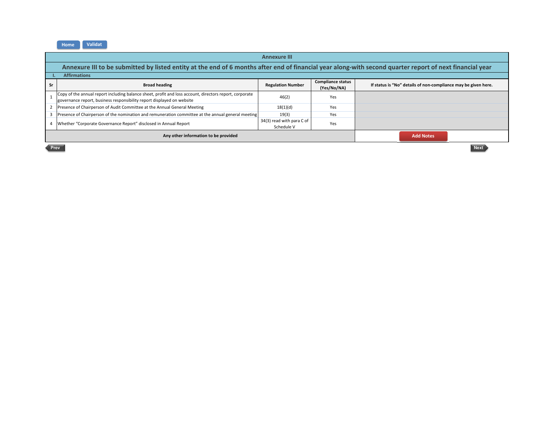## **Sr Broad heading Regulation Number Compliance status (Yes/No/NA) If status is "No" details of non-compliance may be given here.** 1Copy of the annual report including balance sheet, profit and loss account, directors report, corporate governance report, business responsibility report displayed on website e and the defendance of the defendance of the defendance of the defendance of the defendance of the defendance of the defendance of the defendance of the definition of the definition of the definition of the definition of Presence of Chairperson of Audit Committee at the Annual General Meeting 18(1)(d) 18(1)(d) Yes<br>3 Presence of Chairperson of the nomination and remuneration committee at the annual general meeting 19(3) Yes **Presence of Chairperson of the nomination and remuneration committee at the annual general meeting 19(3) 19(3)**<br>What has "Camaanta Guerrance Benert" disclosed in Annual Benert 4 Whether "Corporate Governance Report" disclosed in Annual Report 34(3) read with para With para C or Schedule V Yes **Annexure IIIAnnexure III to be submitted by listed entity at the end of 6 months after end of financial year along-with second quarter report of next financial yearI. AffirmationsAny other information to be providedAdd Notes**

Prev Next **Next and Section** Association of the Section Association of the Section Association of the Section Association of the Section Association and Section Association Association and Association Association Associati